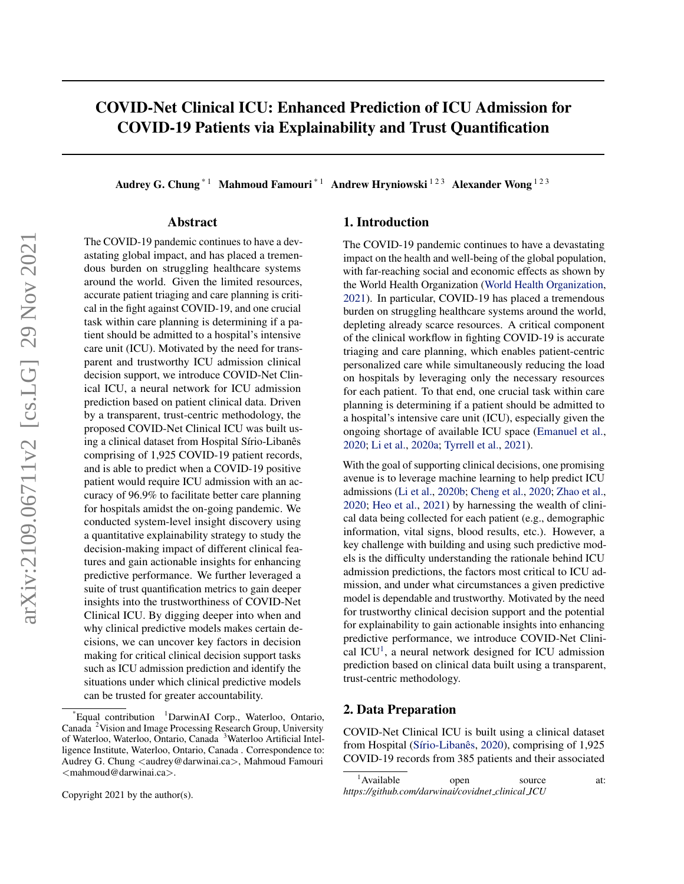# <span id="page-0-0"></span>COVID-Net Clinical ICU: Enhanced Prediction of ICU Admission for COVID-19 Patients via Explainability and Trust Quantification

Audrey G. Chung<sup>\*1</sup> Mahmoud Famouri<sup>\*1</sup> Andrew Hryniowski<sup>123</sup> Alexander Wong<sup>123</sup>

#### Abstract

The COVID-19 pandemic continues to have a devastating global impact, and has placed a tremendous burden on struggling healthcare systems around the world. Given the limited resources, accurate patient triaging and care planning is critical in the fight against COVID-19, and one crucial task within care planning is determining if a patient should be admitted to a hospital's intensive care unit (ICU). Motivated by the need for transparent and trustworthy ICU admission clinical decision support, we introduce COVID-Net Clinical ICU, a neural network for ICU admission prediction based on patient clinical data. Driven by a transparent, trust-centric methodology, the proposed COVID-Net Clinical ICU was built using a clinical dataset from Hospital Sírio-Libanês comprising of 1,925 COVID-19 patient records, and is able to predict when a COVID-19 positive patient would require ICU admission with an accuracy of 96.9% to facilitate better care planning for hospitals amidst the on-going pandemic. We conducted system-level insight discovery using a quantitative explainability strategy to study the decision-making impact of different clinical features and gain actionable insights for enhancing predictive performance. We further leveraged a suite of trust quantification metrics to gain deeper insights into the trustworthiness of COVID-Net Clinical ICU. By digging deeper into when and why clinical predictive models makes certain decisions, we can uncover key factors in decision making for critical clinical decision support tasks such as ICU admission prediction and identify the situations under which clinical predictive models can be trusted for greater accountability.

# 1. Introduction

The COVID-19 pandemic continues to have a devastating impact on the health and well-being of the global population, with far-reaching social and economic effects as shown by the World Health Organization [\(World Health Organization,](#page-4-0) [2021\)](#page-4-0). In particular, COVID-19 has placed a tremendous burden on struggling healthcare systems around the world, depleting already scarce resources. A critical component of the clinical workflow in fighting COVID-19 is accurate triaging and care planning, which enables patient-centric personalized care while simultaneously reducing the load on hospitals by leveraging only the necessary resources for each patient. To that end, one crucial task within care planning is determining if a patient should be admitted to a hospital's intensive care unit (ICU), especially given the ongoing shortage of available ICU space [\(Emanuel et al.,](#page-3-0) [2020;](#page-3-0) [Li et al.,](#page-3-0) [2020a;](#page-3-0) [Tyrrell et al.,](#page-4-0) [2021\)](#page-4-0).

With the goal of supporting clinical decisions, one promising avenue is to leverage machine learning to help predict ICU admissions [\(Li et al.,](#page-4-0) [2020b;](#page-4-0) [Cheng et al.,](#page-3-0) [2020;](#page-3-0) [Zhao et al.,](#page-4-0) [2020;](#page-4-0) [Heo et al.,](#page-3-0) [2021\)](#page-3-0) by harnessing the wealth of clinical data being collected for each patient (e.g., demographic information, vital signs, blood results, etc.). However, a key challenge with building and using such predictive models is the difficulty understanding the rationale behind ICU admission predictions, the factors most critical to ICU admission, and under what circumstances a given predictive model is dependable and trustworthy. Motivated by the need for trustworthy clinical decision support and the potential for explainability to gain actionable insights into enhancing predictive performance, we introduce COVID-Net Clinical ICU<sup>1</sup>, a neural network designed for ICU admission prediction based on clinical data built using a transparent, trust-centric methodology.

### 2. Data Preparation

COVID-Net Clinical ICU is built using a clinical dataset from Hospital (Sírio-Libanês, [2020\)](#page-4-0), comprising of 1,925 COVID-19 records from 385 patients and their associated

<sup>\*</sup>Equal contribution <sup>1</sup>DarwinAI Corp., Waterloo, Ontario, Canada <sup>2</sup>Vision and Image Processing Research Group, University of Waterloo, Waterloo, Ontario, Canada <sup>3</sup>Waterloo Artificial Intelligence Institute, Waterloo, Ontario, Canada . Correspondence to: Audrey G. Chung <audrey@darwinai.ca>, Mahmoud Famouri <mahmoud@darwinai.ca>.

<sup>&</sup>lt;sup>1</sup>Available open source at: *https://github.com/darwinai/covidnet clinical ICU*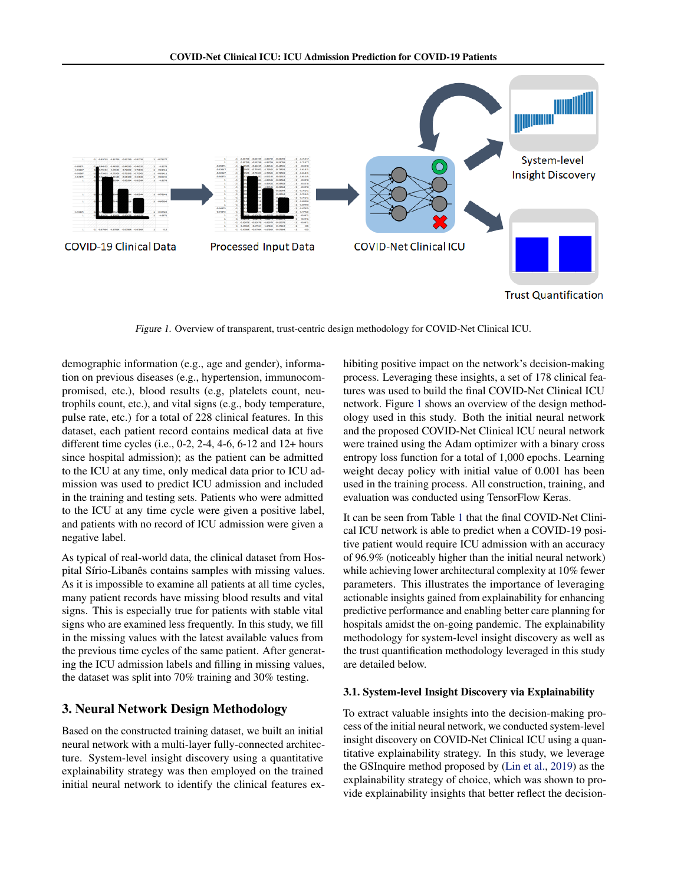

Figure 1. Overview of transparent, trust-centric design methodology for COVID-Net Clinical ICU.

demographic information (e.g., age and gender), information on previous diseases (e.g., hypertension, immunocompromised, etc.), blood results (e.g, platelets count, neutrophils count, etc.), and vital signs (e.g., body temperature, pulse rate, etc.) for a total of 228 clinical features. In this dataset, each patient record contains medical data at five different time cycles (i.e., 0-2, 2-4, 4-6, 6-12 and 12+ hours since hospital admission); as the patient can be admitted to the ICU at any time, only medical data prior to ICU admission was used to predict ICU admission and included in the training and testing sets. Patients who were admitted to the ICU at any time cycle were given a positive label, and patients with no record of ICU admission were given a negative label.

As typical of real-world data, the clinical dataset from Hospital Sírio-Libanês contains samples with missing values. As it is impossible to examine all patients at all time cycles, many patient records have missing blood results and vital signs. This is especially true for patients with stable vital signs who are examined less frequently. In this study, we fill in the missing values with the latest available values from the previous time cycles of the same patient. After generating the ICU admission labels and filling in missing values, the dataset was split into 70% training and 30% testing.

# 3. Neural Network Design Methodology

Based on the constructed training dataset, we built an initial neural network with a multi-layer fully-connected architecture. System-level insight discovery using a quantitative explainability strategy was then employed on the trained initial neural network to identify the clinical features exhibiting positive impact on the network's decision-making process. Leveraging these insights, a set of 178 clinical features was used to build the final COVID-Net Clinical ICU network. Figure [1](#page-0-0) shows an overview of the design methodology used in this study. Both the initial neural network and the proposed COVID-Net Clinical ICU neural network were trained using the Adam optimizer with a binary cross entropy loss function for a total of 1,000 epochs. Learning weight decay policy with initial value of 0.001 has been used in the training process. All construction, training, and evaluation was conducted using TensorFlow Keras.

It can be seen from Table [1](#page-2-0) that the final COVID-Net Clinical ICU network is able to predict when a COVID-19 positive patient would require ICU admission with an accuracy of 96.9% (noticeably higher than the initial neural network) while achieving lower architectural complexity at 10% fewer parameters. This illustrates the importance of leveraging actionable insights gained from explainability for enhancing predictive performance and enabling better care planning for hospitals amidst the on-going pandemic. The explainability methodology for system-level insight discovery as well as the trust quantification methodology leveraged in this study are detailed below.

### 3.1. System-level Insight Discovery via Explainability

To extract valuable insights into the decision-making process of the initial neural network, we conducted system-level insight discovery on COVID-Net Clinical ICU using a quantitative explainability strategy. In this study, we leverage the GSInquire method proposed by [\(Lin et al.,](#page-4-0) [2019\)](#page-4-0) as the explainability strategy of choice, which was shown to provide explainability insights that better reflect the decision-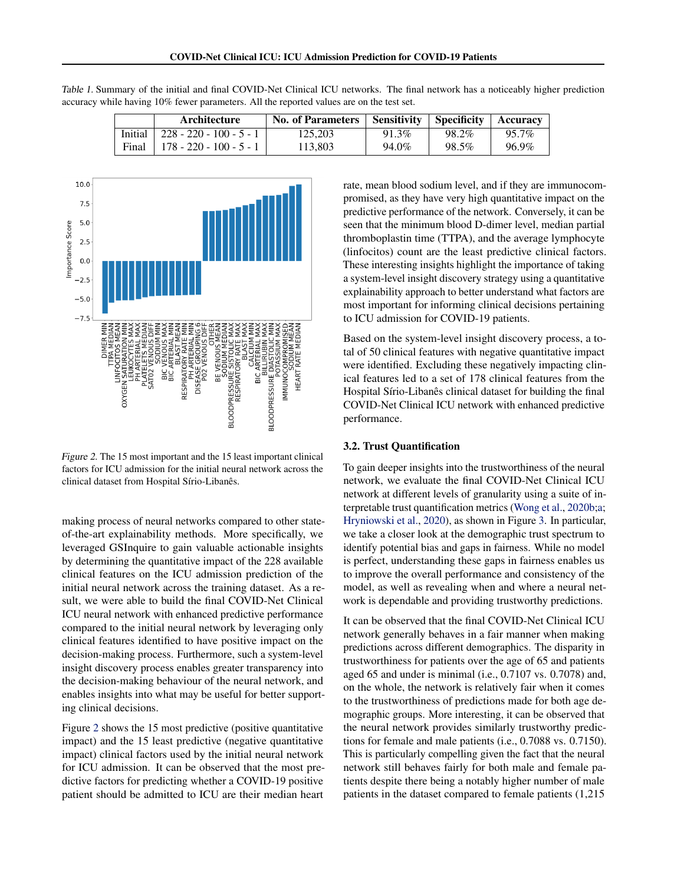|         | Architecture                    | <b>No. of Parameters</b> | Sensitivity   Specificity |       | <b>Accuracy</b> |
|---------|---------------------------------|--------------------------|---------------------------|-------|-----------------|
| Initial | $\vert$ 228 - 220 - 100 - 5 - 1 | 125.203                  | 91.3%                     | 98.2% | 95.7%           |
| Final   | 178 - 220 - 100 - 5 - 1         | 113.803                  | 94.0%                     | 98.5% | 96.9%           |

<span id="page-2-0"></span>



Figure 2. The 15 most important and the 15 least important clinical factors for ICU admission for the initial neural network across the clinical dataset from Hospital Sírio-Libanês.

making process of neural networks compared to other stateof-the-art explainability methods. More specifically, we leveraged GSInquire to gain valuable actionable insights by determining the quantitative impact of the 228 available clinical features on the ICU admission prediction of the initial neural network across the training dataset. As a result, we were able to build the final COVID-Net Clinical ICU neural network with enhanced predictive performance compared to the initial neural network by leveraging only clinical features identified to have positive impact on the decision-making process. Furthermore, such a system-level insight discovery process enables greater transparency into the decision-making behaviour of the neural network, and enables insights into what may be useful for better supporting clinical decisions.

Figure 2 shows the 15 most predictive (positive quantitative impact) and the 15 least predictive (negative quantitative impact) clinical factors used by the initial neural network for ICU admission. It can be observed that the most predictive factors for predicting whether a COVID-19 positive patient should be admitted to ICU are their median heart

rate, mean blood sodium level, and if they are immunocompromised, as they have very high quantitative impact on the predictive performance of the network. Conversely, it can be seen that the minimum blood D-dimer level, median partial thromboplastin time (TTPA), and the average lymphocyte (linfocitos) count are the least predictive clinical factors. These interesting insights highlight the importance of taking a system-level insight discovery strategy using a quantitative explainability approach to better understand what factors are most important for informing clinical decisions pertaining to ICU admission for COVID-19 patients.

Based on the system-level insight discovery process, a total of 50 clinical features with negative quantitative impact were identified. Excluding these negatively impacting clinical features led to a set of 178 clinical features from the Hospital Sírio-Libanês clinical dataset for building the final COVID-Net Clinical ICU network with enhanced predictive performance.

#### 3.2. Trust Quantification

To gain deeper insights into the trustworthiness of the neural network, we evaluate the final COVID-Net Clinical ICU network at different levels of granularity using a suite of interpretable trust quantification metrics [\(Wong et al.,](#page-4-0) [2020b;a;](#page-4-0) [Hryniowski et al.,](#page-3-0) [2020\)](#page-3-0), as shown in Figure [3.](#page-3-0) In particular, we take a closer look at the demographic trust spectrum to identify potential bias and gaps in fairness. While no model is perfect, understanding these gaps in fairness enables us to improve the overall performance and consistency of the model, as well as revealing when and where a neural network is dependable and providing trustworthy predictions.

It can be observed that the final COVID-Net Clinical ICU network generally behaves in a fair manner when making predictions across different demographics. The disparity in trustworthiness for patients over the age of 65 and patients aged 65 and under is minimal (i.e., 0.7107 vs. 0.7078) and, on the whole, the network is relatively fair when it comes to the trustworthiness of predictions made for both age demographic groups. More interesting, it can be observed that the neural network provides similarly trustworthy predictions for female and male patients (i.e., 0.7088 vs. 0.7150). This is particularly compelling given the fact that the neural network still behaves fairly for both male and female patients despite there being a notably higher number of male patients in the dataset compared to female patients (1,215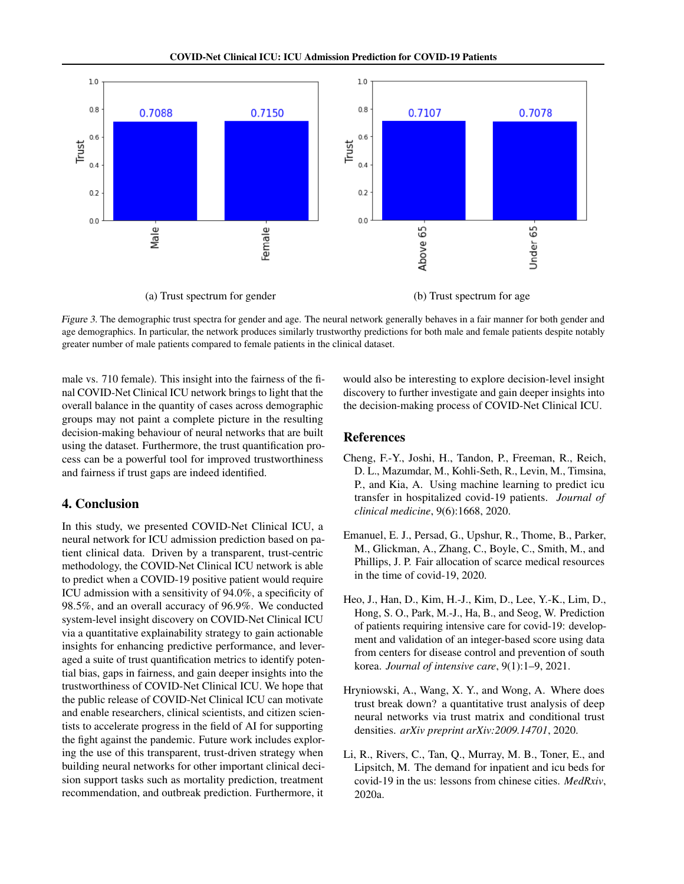<span id="page-3-0"></span>

Figure 3. The demographic trust spectra for gender and age. The neural network generally behaves in a fair manner for both gender and age demographics. In particular, the network produces similarly trustworthy predictions for both male and female patients despite notably greater number of male patients compared to female patients in the clinical dataset.

male vs. 710 female). This insight into the fairness of the final COVID-Net Clinical ICU network brings to light that the overall balance in the quantity of cases across demographic groups may not paint a complete picture in the resulting decision-making behaviour of neural networks that are built using the dataset. Furthermore, the trust quantification process can be a powerful tool for improved trustworthiness and fairness if trust gaps are indeed identified.

### 4. Conclusion

In this study, we presented COVID-Net Clinical ICU, a neural network for ICU admission prediction based on patient clinical data. Driven by a transparent, trust-centric methodology, the COVID-Net Clinical ICU network is able to predict when a COVID-19 positive patient would require ICU admission with a sensitivity of 94.0%, a specificity of 98.5%, and an overall accuracy of 96.9%. We conducted system-level insight discovery on COVID-Net Clinical ICU via a quantitative explainability strategy to gain actionable insights for enhancing predictive performance, and leveraged a suite of trust quantification metrics to identify potential bias, gaps in fairness, and gain deeper insights into the trustworthiness of COVID-Net Clinical ICU. We hope that the public release of COVID-Net Clinical ICU can motivate and enable researchers, clinical scientists, and citizen scientists to accelerate progress in the field of AI for supporting the fight against the pandemic. Future work includes exploring the use of this transparent, trust-driven strategy when building neural networks for other important clinical decision support tasks such as mortality prediction, treatment recommendation, and outbreak prediction. Furthermore, it would also be interesting to explore decision-level insight discovery to further investigate and gain deeper insights into the decision-making process of COVID-Net Clinical ICU.

### References

- Cheng, F.-Y., Joshi, H., Tandon, P., Freeman, R., Reich, D. L., Mazumdar, M., Kohli-Seth, R., Levin, M., Timsina, P., and Kia, A. Using machine learning to predict icu transfer in hospitalized covid-19 patients. *Journal of clinical medicine*, 9(6):1668, 2020.
- Emanuel, E. J., Persad, G., Upshur, R., Thome, B., Parker, M., Glickman, A., Zhang, C., Boyle, C., Smith, M., and Phillips, J. P. Fair allocation of scarce medical resources in the time of covid-19, 2020.
- Heo, J., Han, D., Kim, H.-J., Kim, D., Lee, Y.-K., Lim, D., Hong, S. O., Park, M.-J., Ha, B., and Seog, W. Prediction of patients requiring intensive care for covid-19: development and validation of an integer-based score using data from centers for disease control and prevention of south korea. *Journal of intensive care*, 9(1):1–9, 2021.
- Hryniowski, A., Wang, X. Y., and Wong, A. Where does trust break down? a quantitative trust analysis of deep neural networks via trust matrix and conditional trust densities. *arXiv preprint arXiv:2009.14701*, 2020.
- Li, R., Rivers, C., Tan, Q., Murray, M. B., Toner, E., and Lipsitch, M. The demand for inpatient and icu beds for covid-19 in the us: lessons from chinese cities. *MedRxiv*, 2020a.